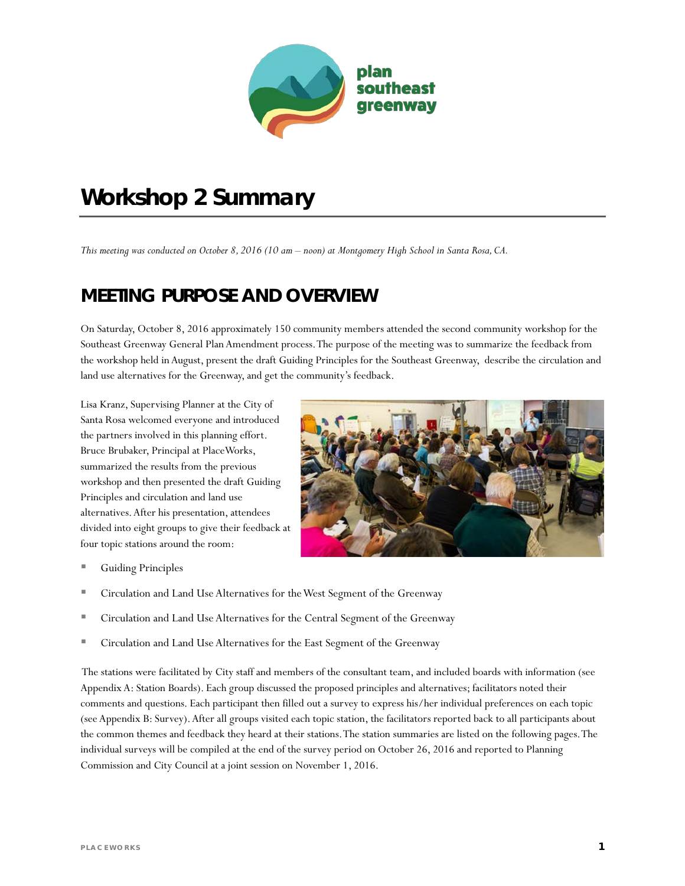

# *Workshop 2 Summary*

*This meeting was conducted on October 8, 2016 (10 am – noon) at Montgomery High School in Santa Rosa, CA.*

## **MEETING PURPOSE AND OVERVIEW**

On Saturday, October 8, 2016 approximately 150 community members attended the second community workshop for the Southeast Greenway General Plan Amendment process. The purpose of the meeting was to summarize the feedback from the workshop held in August, present the draft Guiding Principles for the Southeast Greenway, describe the circulation and land use alternatives for the Greenway, and get the community's feedback.

Lisa Kranz, Supervising Planner at the City of Santa Rosa welcomed everyone and introduced the partners involved in this planning effort. Bruce Brubaker, Principal at PlaceWorks, summarized the results from the previous workshop and then presented the draft Guiding Principles and circulation and land use alternatives.After his presentation, attendees divided into eight groups to give their feedback at four topic stations around the room:



- Guiding Principles
- **EXECT** Circulation and Land Use Alternatives for the West Segment of the Greenway
- Circulation and Land Use Alternatives for the Central Segment of the Greenway
- Circulation and Land Use Alternatives for the East Segment of the Greenway

The stations were facilitated by City staff and members of the consultant team, and included boards with information (see Appendix A: Station Boards). Each group discussed the proposed principles and alternatives; facilitators noted their comments and questions. Each participant then filled out a survey to express his/her individual preferences on each topic (see Appendix B: Survey). After all groups visited each topic station, the facilitators reported back to all participants about the common themes and feedback they heard at their stations.The station summaries are listed on the following pages.The individual surveys will be compiled at the end of the survey period on October 26, 2016 and reported to Planning Commission and City Council at a joint session on November 1, 2016.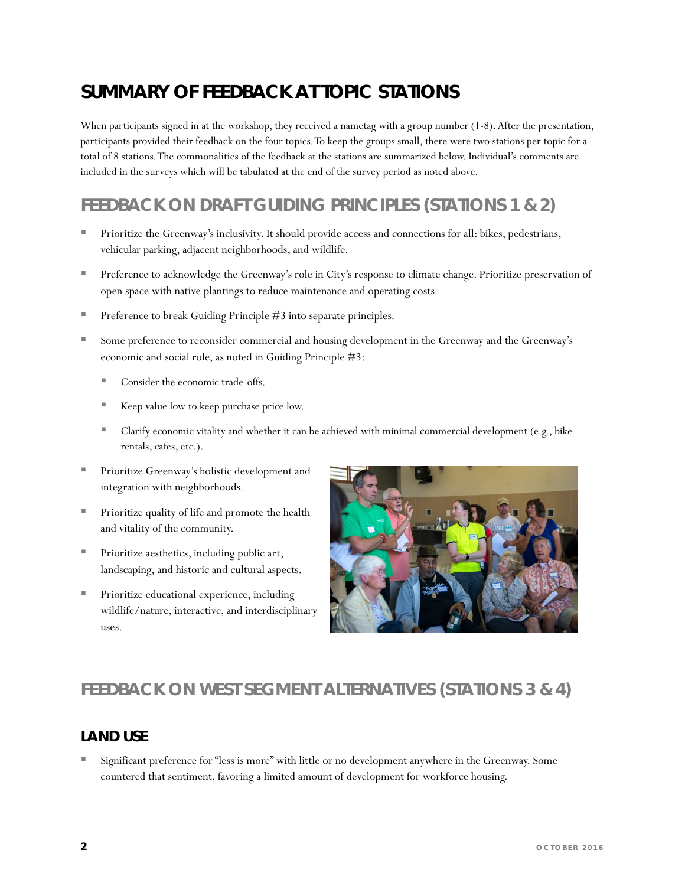# **SUMMARY OF FEEDBACK AT TOPIC STATIONS**

When participants signed in at the workshop, they received a nametag with a group number (1-8). After the presentation, participants provided their feedback on the four topics. To keep the groups small, there were two stations per topic for a total of 8 stations. The commonalities of the feedback at the stations are summarized below. Individual's comments are included in the surveys which will be tabulated at the end of the survey period as noted above.

### **FEEDBACK ON DRAFT GUIDING PRINCIPLES (STATIONS 1 & 2)**

- Prioritize the Greenway's inclusivity. It should provide access and connections for all: bikes, pedestrians, vehicular parking, adjacent neighborhoods, and wildlife.
- **Preference to acknowledge the Greenway's role in City's response to climate change. Prioritize preservation of** open space with native plantings to reduce maintenance and operating costs.
- Preference to break Guiding Principle #3 into separate principles.
- Some preference to reconsider commercial and housing development in the Greenway and the Greenway's economic and social role, as noted in Guiding Principle #3:
	- Consider the economic trade-offs.
	- Keep value low to keep purchase price low.
	- Clarify economic vitality and whether it can be achieved with minimal commercial development (e.g., bike rentals, cafes, etc.).
- Prioritize Greenway's holistic development and integration with neighborhoods.
- Prioritize quality of life and promote the health and vitality of the community.
- Prioritize aesthetics, including public art, landscaping, and historic and cultural aspects.
- Prioritize educational experience, including wildlife/nature, interactive, and interdisciplinary uses.



### **FEEDBACK ON WEST SEGMENT ALTERNATIVES (STATIONS 3 & 4)**

#### **LAND USE**

 Significant preference for "less is more" with little or no development anywhere in the Greenway. Some countered that sentiment, favoring a limited amount of development for workforce housing.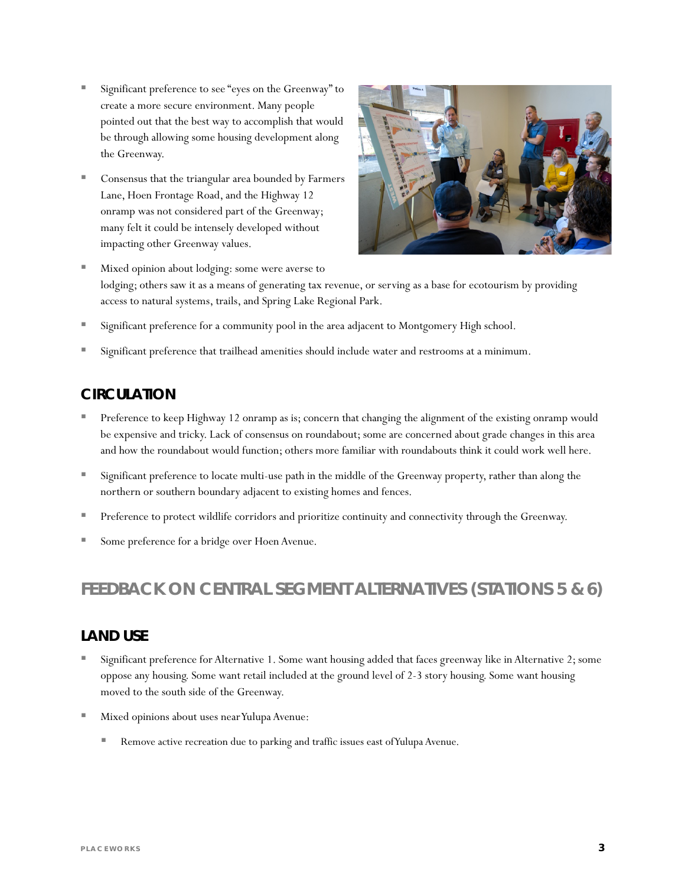- Significant preference to see "eyes on the Greenway" to create a more secure environment. Many people pointed out that the best way to accomplish that would be through allowing some housing development along the Greenway.
- Consensus that the triangular area bounded by Farmers Lane, Hoen Frontage Road, and the Highway 12 onramp was not considered part of the Greenway; many felt it could be intensely developed without impacting other Greenway values.



- Mixed opinion about lodging: some were averse to lodging; others saw it as a means of generating tax revenue, or serving as a base for ecotourism by providing access to natural systems, trails, and Spring Lake Regional Park.
- Significant preference for a community pool in the area adjacent to Montgomery High school.
- Significant preference that trailhead amenities should include water and restrooms at a minimum.

#### **CIRCULATION**

- Preference to keep Highway 12 onramp as is; concern that changing the alignment of the existing onramp would be expensive and tricky. Lack of consensus on roundabout; some are concerned about grade changes in this area and how the roundabout would function; others more familiar with roundabouts think it could work well here.
- **Significant preference to locate multi-use path in the middle of the Greenway property, rather than along the** northern or southern boundary adjacent to existing homes and fences.
- Preference to protect wildlife corridors and prioritize continuity and connectivity through the Greenway.
- Some preference for a bridge over Hoen Avenue.

### **FEEDBACK ON CENTRAL SEGMENT ALTERNATIVES (STATIONS 5 & 6)**

#### **LAND USE**

- Significant preference for Alternative 1. Some want housing added that faces greenway like in Alternative 2; some oppose any housing. Some want retail included at the ground level of 2-3 story housing. Some want housing moved to the south side of the Greenway.
- Mixed opinions about uses near Yulupa Avenue:
	- Remove active recreation due to parking and traffic issues east of Yulupa Avenue.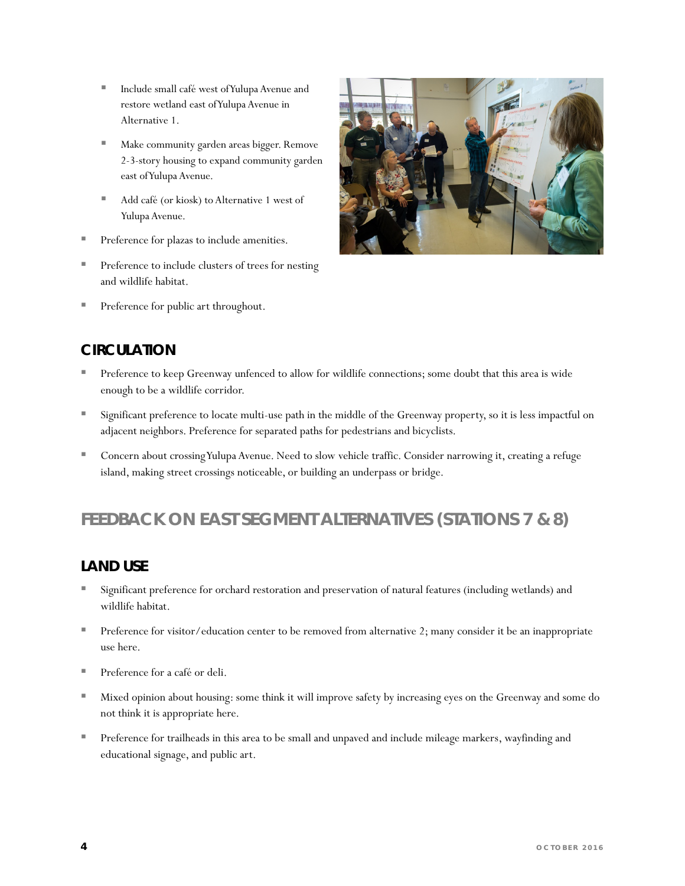- Include small café west of Yulupa Avenue and restore wetland east of Yulupa Avenue in Alternative 1.
- Make community garden areas bigger. Remove 2-3-story housing to expand community garden east of Yulupa Avenue.
- Add café (or kiosk) to Alternative 1 west of Yulupa Avenue.
- Preference for plazas to include amenities.
- Preference to include clusters of trees for nesting and wildlife habitat.
- **Preference for public art throughout.**



### **CIRCULATION**

- Preference to keep Greenway unfenced to allow for wildlife connections; some doubt that this area is wide enough to be a wildlife corridor.
- Significant preference to locate multi-use path in the middle of the Greenway property, so it is less impactful on adjacent neighbors. Preference for separated paths for pedestrians and bicyclists.
- Concern about crossing Yulupa Avenue. Need to slow vehicle traffic. Consider narrowing it, creating a refuge island, making street crossings noticeable, or building an underpass or bridge.

### **FEEDBACK ON EAST SEGMENT ALTERNATIVES (STATIONS 7 & 8)**

#### **LAND USE**

- Significant preference for orchard restoration and preservation of natural features (including wetlands) and wildlife habitat.
- Preference for visitor/education center to be removed from alternative 2; many consider it be an inappropriate use here.
- **Preference for a café or deli.**
- Mixed opinion about housing: some think it will improve safety by increasing eyes on the Greenway and some do not think it is appropriate here.
- **Preference for trailheads in this area to be small and unpaved and include mileage markers, wayfinding and** educational signage, and public art.